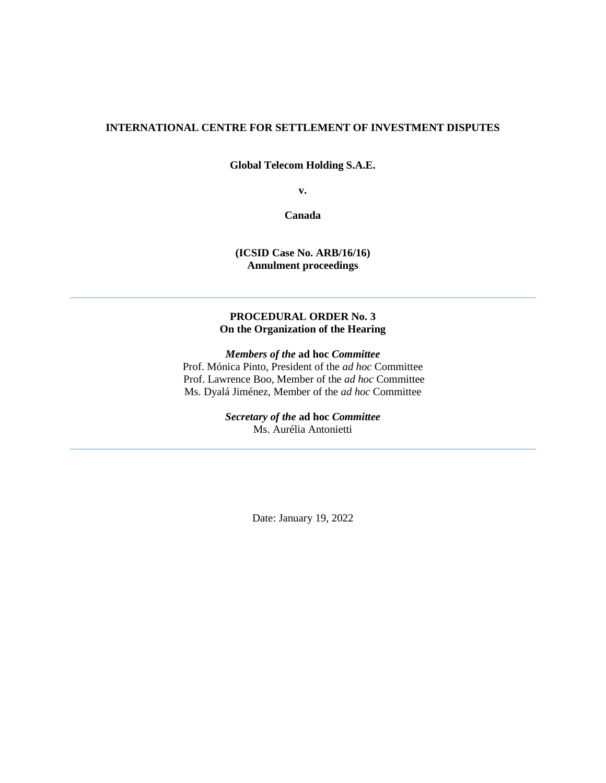## **INTERNATIONAL CENTRE FOR SETTLEMENT OF INVESTMENT DISPUTES**

**Global Telecom Holding S.A.E.**

**v.**

**Canada**

### **(ICSID Case No. ARB/16/16) Annulment proceedings**

## **PROCEDURAL ORDER No. 3 On the Organization of the Hearing**

*Members of the* **ad hoc** *Committee*

Prof. Mónica Pinto, President of the *ad hoc* Committee Prof. Lawrence Boo, Member of the *ad hoc* Committee Ms. Dyalá Jiménez, Member of the *ad hoc* Committee

> *Secretary of the* **ad hoc** *Committee* Ms. Aurélia Antonietti

> > Date: January 19, 2022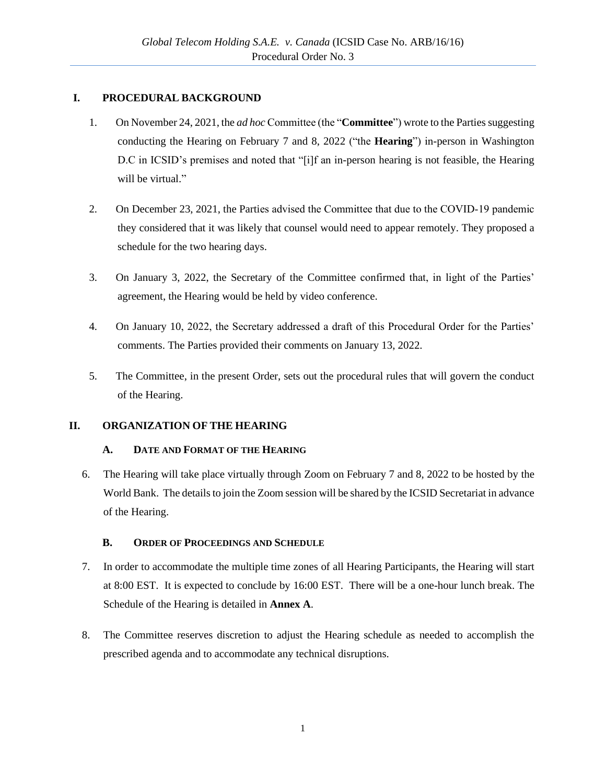## **I. PROCEDURAL BACKGROUND**

- 1. On November 24, 2021, the *ad hoc* Committee (the "**Committee**") wrote to the Partiessuggesting conducting the Hearing on February 7 and 8, 2022 ("the **Hearing**") in-person in Washington D.C in ICSID's premises and noted that "[i]f an in-person hearing is not feasible, the Hearing will be virtual."
- 2. On December 23, 2021, the Parties advised the Committee that due to the COVID-19 pandemic they considered that it was likely that counsel would need to appear remotely. They proposed a schedule for the two hearing days.
- 3. On January 3, 2022, the Secretary of the Committee confirmed that, in light of the Parties' agreement, the Hearing would be held by video conference.
- 4. On January 10, 2022, the Secretary addressed a draft of this Procedural Order for the Parties' comments. The Parties provided their comments on January 13, 2022.
- 5. The Committee, in the present Order, sets out the procedural rules that will govern the conduct of the Hearing.

## **II. ORGANIZATION OF THE HEARING**

### **A. DATE AND FORMAT OF THE HEARING**

6. The Hearing will take place virtually through Zoom on February 7 and 8, 2022 to be hosted by the World Bank. The details to join the Zoom session will be shared by the ICSID Secretariat in advance of the Hearing.

## **B. ORDER OF PROCEEDINGS AND SCHEDULE**

- 7. In order to accommodate the multiple time zones of all Hearing Participants, the Hearing will start at 8:00 EST. It is expected to conclude by 16:00 EST. There will be a one-hour lunch break. The Schedule of the Hearing is detailed in **Annex A**.
- 8. The Committee reserves discretion to adjust the Hearing schedule as needed to accomplish the prescribed agenda and to accommodate any technical disruptions.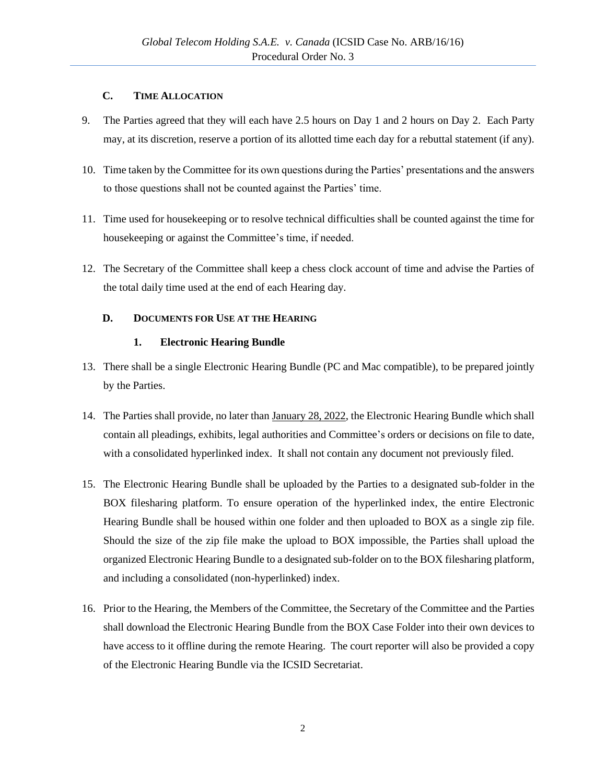## **C. TIME ALLOCATION**

- 9. The Parties agreed that they will each have 2.5 hours on Day 1 and 2 hours on Day 2. Each Party may, at its discretion, reserve a portion of its allotted time each day for a rebuttal statement (if any).
- 10. Time taken by the Committee for its own questions during the Parties' presentations and the answers to those questions shall not be counted against the Parties' time.
- 11. Time used for housekeeping or to resolve technical difficulties shall be counted against the time for housekeeping or against the Committee's time, if needed.
- 12. The Secretary of the Committee shall keep a chess clock account of time and advise the Parties of the total daily time used at the end of each Hearing day.

## **D. DOCUMENTS FOR USE AT THE HEARING**

## **1. Electronic Hearing Bundle**

- 13. There shall be a single Electronic Hearing Bundle (PC and Mac compatible), to be prepared jointly by the Parties.
- 14. The Parties shall provide, no later than January 28, 2022, the Electronic Hearing Bundle which shall contain all pleadings, exhibits, legal authorities and Committee's orders or decisions on file to date, with a consolidated hyperlinked index. It shall not contain any document not previously filed.
- 15. The Electronic Hearing Bundle shall be uploaded by the Parties to a designated sub-folder in the BOX filesharing platform. To ensure operation of the hyperlinked index, the entire Electronic Hearing Bundle shall be housed within one folder and then uploaded to BOX as a single zip file. Should the size of the zip file make the upload to BOX impossible, the Parties shall upload the organized Electronic Hearing Bundle to a designated sub-folder on to the BOX filesharing platform, and including a consolidated (non-hyperlinked) index.
- 16. Prior to the Hearing, the Members of the Committee, the Secretary of the Committee and the Parties shall download the Electronic Hearing Bundle from the BOX Case Folder into their own devices to have access to it offline during the remote Hearing. The court reporter will also be provided a copy of the Electronic Hearing Bundle via the ICSID Secretariat.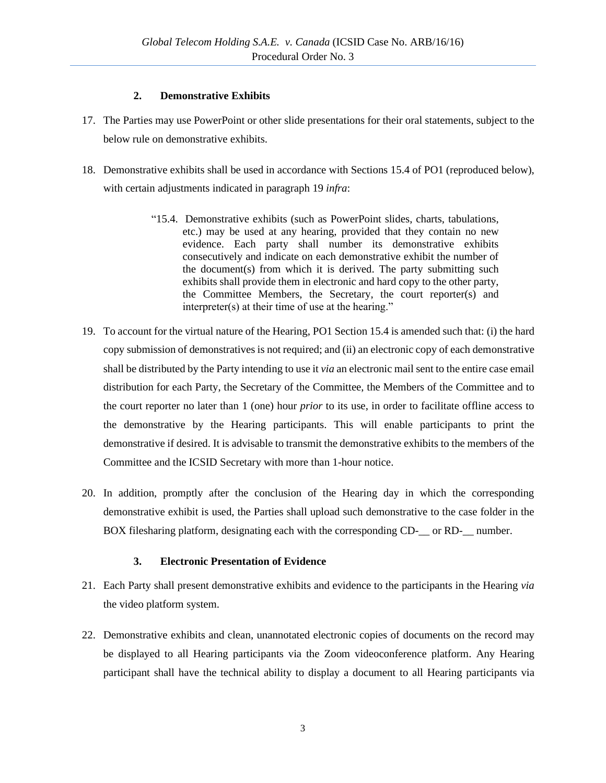## **2. Demonstrative Exhibits**

- 17. The Parties may use PowerPoint or other slide presentations for their oral statements, subject to the below rule on demonstrative exhibits.
- 18. Demonstrative exhibits shall be used in accordance with Sections 15.4 of PO1 (reproduced below), with certain adjustments indicated in paragraph 19 *infra*:
	- "15.4. Demonstrative exhibits (such as PowerPoint slides, charts, tabulations, etc.) may be used at any hearing, provided that they contain no new evidence. Each party shall number its demonstrative exhibits consecutively and indicate on each demonstrative exhibit the number of the document(s) from which it is derived. The party submitting such exhibits shall provide them in electronic and hard copy to the other party, the Committee Members, the Secretary, the court reporter(s) and interpreter(s) at their time of use at the hearing."
- 19. To account for the virtual nature of the Hearing, PO1 Section 15.4 is amended such that: (i) the hard copy submission of demonstratives is not required; and (ii) an electronic copy of each demonstrative shall be distributed by the Party intending to use it *via* an electronic mail sent to the entire case email distribution for each Party, the Secretary of the Committee, the Members of the Committee and to the court reporter no later than 1 (one) hour *prior* to its use, in order to facilitate offline access to the demonstrative by the Hearing participants. This will enable participants to print the demonstrative if desired. It is advisable to transmit the demonstrative exhibits to the members of the Committee and the ICSID Secretary with more than 1-hour notice.
- 20. In addition, promptly after the conclusion of the Hearing day in which the corresponding demonstrative exhibit is used, the Parties shall upload such demonstrative to the case folder in the BOX filesharing platform, designating each with the corresponding CD-\_\_ or RD-\_\_ number.

### **3. Electronic Presentation of Evidence**

- 21. Each Party shall present demonstrative exhibits and evidence to the participants in the Hearing *via* the video platform system.
- 22. Demonstrative exhibits and clean, unannotated electronic copies of documents on the record may be displayed to all Hearing participants via the Zoom videoconference platform. Any Hearing participant shall have the technical ability to display a document to all Hearing participants via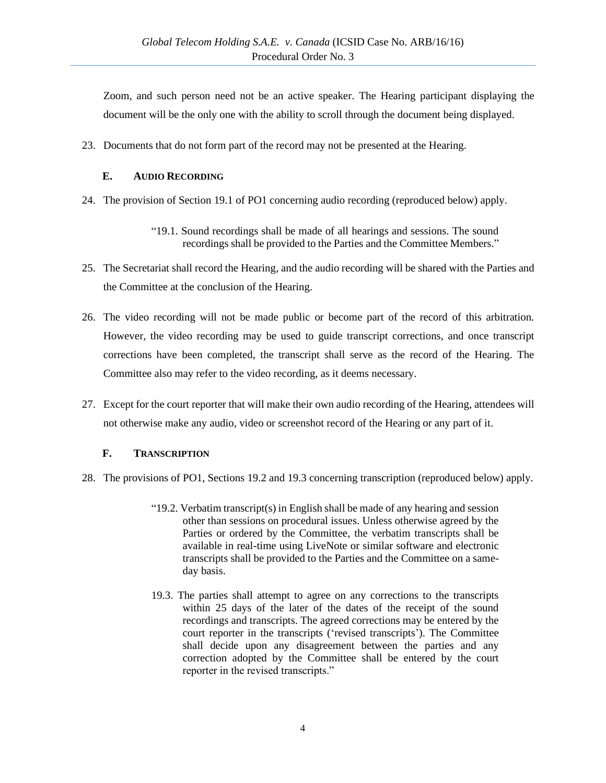Zoom, and such person need not be an active speaker. The Hearing participant displaying the document will be the only one with the ability to scroll through the document being displayed.

23. Documents that do not form part of the record may not be presented at the Hearing.

## **E. AUDIO RECORDING**

- 24. The provision of Section 19.1 of PO1 concerning audio recording (reproduced below) apply.
	- "19.1. Sound recordings shall be made of all hearings and sessions. The sound recordings shall be provided to the Parties and the Committee Members."
- 25. The Secretariat shall record the Hearing, and the audio recording will be shared with the Parties and the Committee at the conclusion of the Hearing.
- 26. The video recording will not be made public or become part of the record of this arbitration. However, the video recording may be used to guide transcript corrections, and once transcript corrections have been completed, the transcript shall serve as the record of the Hearing. The Committee also may refer to the video recording, as it deems necessary.
- 27. Except for the court reporter that will make their own audio recording of the Hearing, attendees will not otherwise make any audio, video or screenshot record of the Hearing or any part of it.

## **F. TRANSCRIPTION**

- 28. The provisions of PO1, Sections 19.2 and 19.3 concerning transcription (reproduced below) apply.
	- "19.2. Verbatim transcript(s) in English shall be made of any hearing and session other than sessions on procedural issues. Unless otherwise agreed by the Parties or ordered by the Committee, the verbatim transcripts shall be available in real-time using LiveNote or similar software and electronic transcripts shall be provided to the Parties and the Committee on a sameday basis.
	- 19.3. The parties shall attempt to agree on any corrections to the transcripts within 25 days of the later of the dates of the receipt of the sound recordings and transcripts. The agreed corrections may be entered by the court reporter in the transcripts ('revised transcripts'). The Committee shall decide upon any disagreement between the parties and any correction adopted by the Committee shall be entered by the court reporter in the revised transcripts."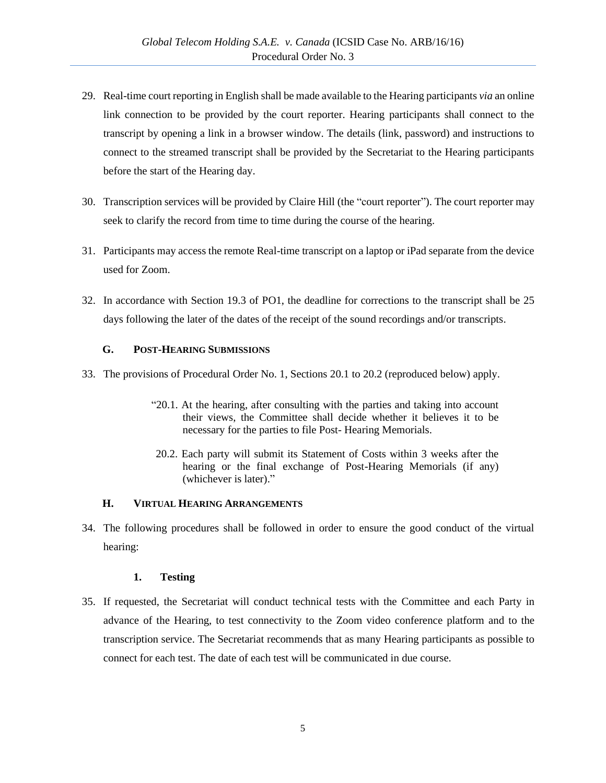- 29. Real-time court reporting in English shall be made available to the Hearing participants *via* an online link connection to be provided by the court reporter. Hearing participants shall connect to the transcript by opening a link in a browser window. The details (link, password) and instructions to connect to the streamed transcript shall be provided by the Secretariat to the Hearing participants before the start of the Hearing day.
- 30. Transcription services will be provided by Claire Hill (the "court reporter"). The court reporter may seek to clarify the record from time to time during the course of the hearing.
- 31. Participants may access the remote Real-time transcript on a laptop or iPad separate from the device used for Zoom.
- 32. In accordance with Section 19.3 of PO1, the deadline for corrections to the transcript shall be 25 days following the later of the dates of the receipt of the sound recordings and/or transcripts.

## **G. POST-HEARING SUBMISSIONS**

- 33. The provisions of Procedural Order No. 1, Sections 20.1 to 20.2 (reproduced below) apply.
	- "20.1. At the hearing, after consulting with the parties and taking into account their views, the Committee shall decide whether it believes it to be necessary for the parties to file Post- Hearing Memorials.
	- 20.2. Each party will submit its Statement of Costs within 3 weeks after the hearing or the final exchange of Post-Hearing Memorials (if any) (whichever is later)."

## **H. VIRTUAL HEARING ARRANGEMENTS**

34. The following procedures shall be followed in order to ensure the good conduct of the virtual hearing:

### **1. Testing**

35. If requested, the Secretariat will conduct technical tests with the Committee and each Party in advance of the Hearing, to test connectivity to the Zoom video conference platform and to the transcription service. The Secretariat recommends that as many Hearing participants as possible to connect for each test. The date of each test will be communicated in due course.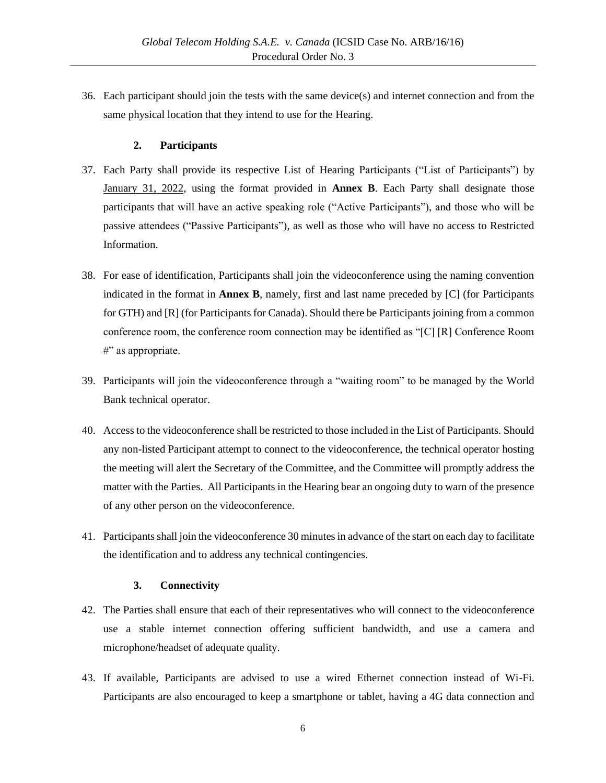36. Each participant should join the tests with the same device(s) and internet connection and from the same physical location that they intend to use for the Hearing.

#### **2. Participants**

- 37. Each Party shall provide its respective List of Hearing Participants ("List of Participants") by January 31, 2022, using the format provided in **Annex B**. Each Party shall designate those participants that will have an active speaking role ("Active Participants"), and those who will be passive attendees ("Passive Participants"), as well as those who will have no access to Restricted Information.
- 38. For ease of identification, Participants shall join the videoconference using the naming convention indicated in the format in **Annex B**, namely, first and last name preceded by [C] (for Participants for GTH) and [R] (for Participants for Canada). Should there be Participants joining from a common conference room, the conference room connection may be identified as "[C] [R] Conference Room #" as appropriate.
- 39. Participants will join the videoconference through a "waiting room" to be managed by the World Bank technical operator.
- 40. Access to the videoconference shall be restricted to those included in the List of Participants. Should any non-listed Participant attempt to connect to the videoconference, the technical operator hosting the meeting will alert the Secretary of the Committee, and the Committee will promptly address the matter with the Parties. All Participants in the Hearing bear an ongoing duty to warn of the presence of any other person on the videoconference.
- 41. Participants shall join the videoconference 30 minutes in advance of the start on each day to facilitate the identification and to address any technical contingencies.

#### **3. Connectivity**

- 42. The Parties shall ensure that each of their representatives who will connect to the videoconference use a stable internet connection offering sufficient bandwidth, and use a camera and microphone/headset of adequate quality.
- 43. If available, Participants are advised to use a wired Ethernet connection instead of Wi-Fi. Participants are also encouraged to keep a smartphone or tablet, having a 4G data connection and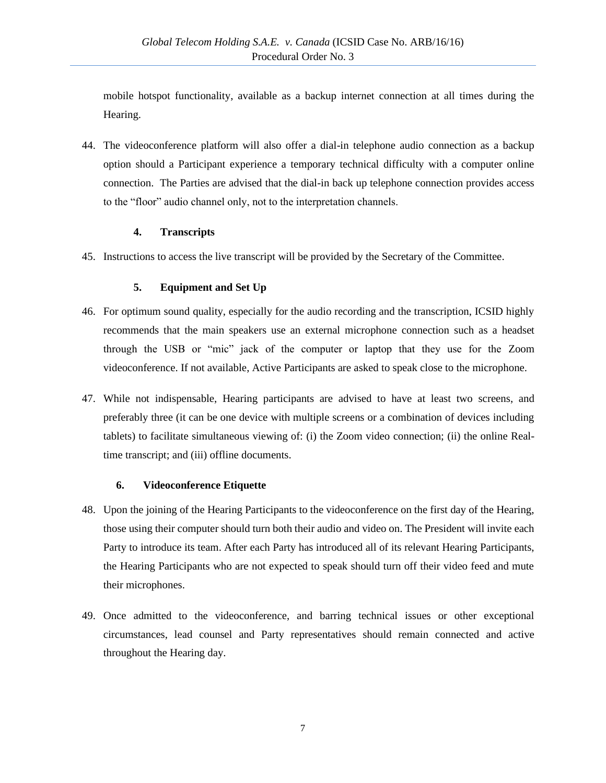mobile hotspot functionality, available as a backup internet connection at all times during the Hearing.

44. The videoconference platform will also offer a dial-in telephone audio connection as a backup option should a Participant experience a temporary technical difficulty with a computer online connection. The Parties are advised that the dial-in back up telephone connection provides access to the "floor" audio channel only, not to the interpretation channels.

## **4. Transcripts**

45. Instructions to access the live transcript will be provided by the Secretary of the Committee.

## **5. Equipment and Set Up**

- 46. For optimum sound quality, especially for the audio recording and the transcription, ICSID highly recommends that the main speakers use an external microphone connection such as a headset through the USB or "mic" jack of the computer or laptop that they use for the Zoom videoconference. If not available, Active Participants are asked to speak close to the microphone.
- 47. While not indispensable, Hearing participants are advised to have at least two screens, and preferably three (it can be one device with multiple screens or a combination of devices including tablets) to facilitate simultaneous viewing of: (i) the Zoom video connection; (ii) the online Realtime transcript; and (iii) offline documents.

### **6. Videoconference Etiquette**

- 48. Upon the joining of the Hearing Participants to the videoconference on the first day of the Hearing, those using their computer should turn both their audio and video on. The President will invite each Party to introduce its team. After each Party has introduced all of its relevant Hearing Participants, the Hearing Participants who are not expected to speak should turn off their video feed and mute their microphones.
- 49. Once admitted to the videoconference, and barring technical issues or other exceptional circumstances, lead counsel and Party representatives should remain connected and active throughout the Hearing day.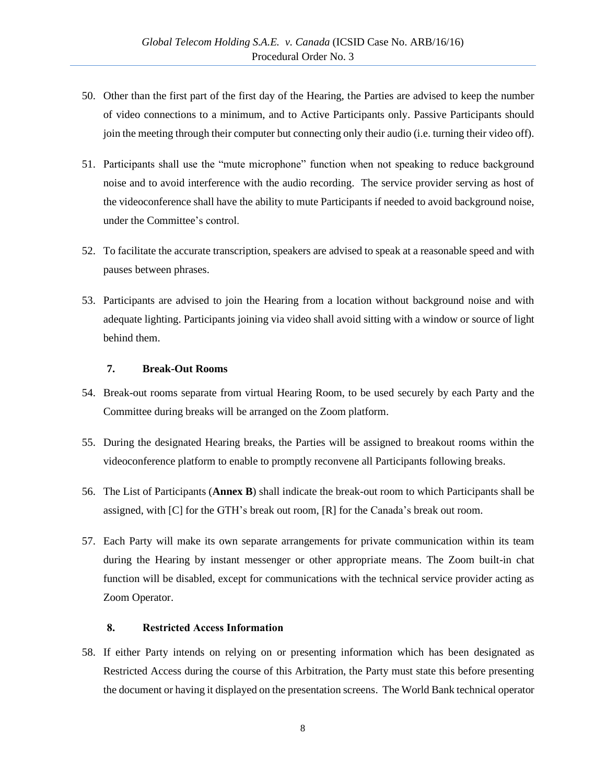- 50. Other than the first part of the first day of the Hearing, the Parties are advised to keep the number of video connections to a minimum, and to Active Participants only. Passive Participants should join the meeting through their computer but connecting only their audio (i.e. turning their video off).
- 51. Participants shall use the "mute microphone" function when not speaking to reduce background noise and to avoid interference with the audio recording. The service provider serving as host of the videoconference shall have the ability to mute Participants if needed to avoid background noise, under the Committee's control.
- 52. To facilitate the accurate transcription, speakers are advised to speak at a reasonable speed and with pauses between phrases.
- 53. Participants are advised to join the Hearing from a location without background noise and with adequate lighting. Participants joining via video shall avoid sitting with a window or source of light behind them.

### **7. Break-Out Rooms**

- 54. Break-out rooms separate from virtual Hearing Room, to be used securely by each Party and the Committee during breaks will be arranged on the Zoom platform.
- 55. During the designated Hearing breaks, the Parties will be assigned to breakout rooms within the videoconference platform to enable to promptly reconvene all Participants following breaks.
- 56. The List of Participants (**Annex B**) shall indicate the break-out room to which Participants shall be assigned, with [C] for the GTH's break out room, [R] for the Canada's break out room.
- 57. Each Party will make its own separate arrangements for private communication within its team during the Hearing by instant messenger or other appropriate means. The Zoom built-in chat function will be disabled, except for communications with the technical service provider acting as Zoom Operator.

## **8. Restricted Access Information**

58. If either Party intends on relying on or presenting information which has been designated as Restricted Access during the course of this Arbitration, the Party must state this before presenting the document or having it displayed on the presentation screens. The World Bank technical operator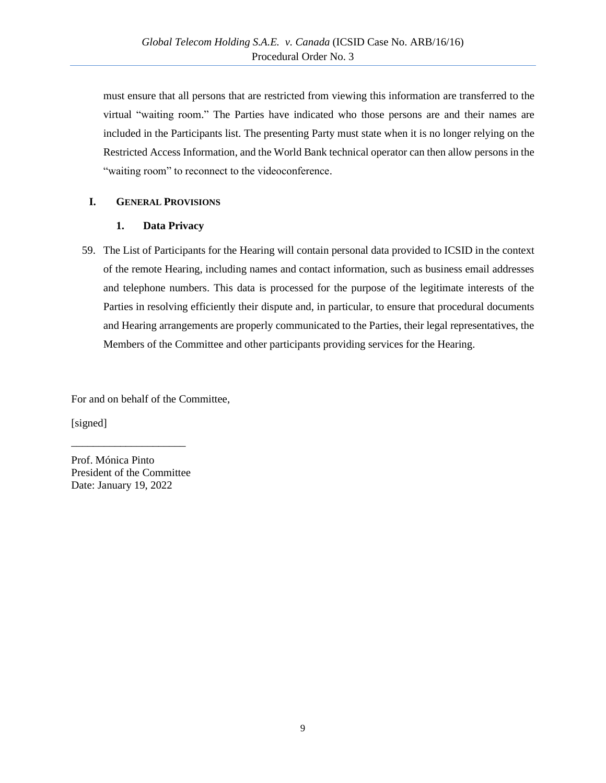must ensure that all persons that are restricted from viewing this information are transferred to the virtual "waiting room." The Parties have indicated who those persons are and their names are included in the Participants list. The presenting Party must state when it is no longer relying on the Restricted Access Information, and the World Bank technical operator can then allow persons in the "waiting room" to reconnect to the videoconference.

## **I. GENERAL PROVISIONS**

## **1. Data Privacy**

59. The List of Participants for the Hearing will contain personal data provided to ICSID in the context of the remote Hearing, including names and contact information, such as business email addresses and telephone numbers. This data is processed for the purpose of the legitimate interests of the Parties in resolving efficiently their dispute and, in particular, to ensure that procedural documents and Hearing arrangements are properly communicated to the Parties, their legal representatives, the Members of the Committee and other participants providing services for the Hearing.

For and on behalf of the Committee,

[signed]

Prof. Mónica Pinto President of the Committee Date: January 19, 2022

\_\_\_\_\_\_\_\_\_\_\_\_\_\_\_\_\_\_\_\_\_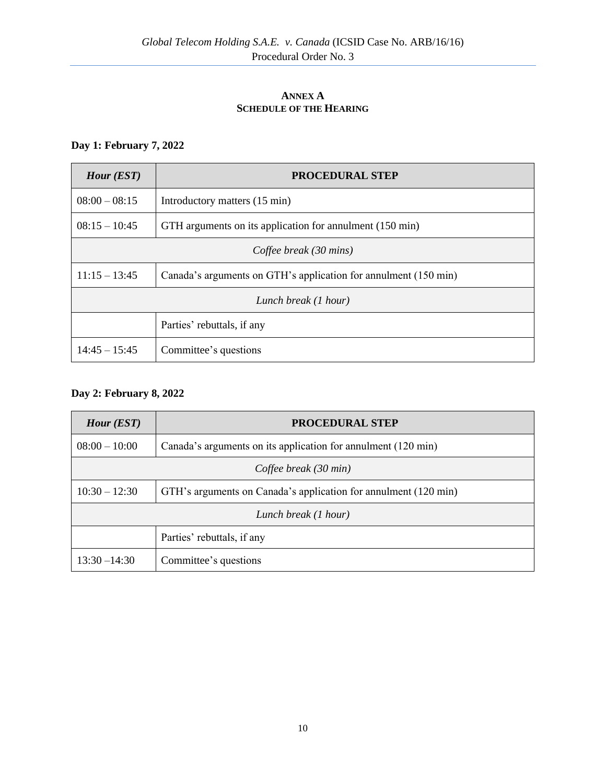## **ANNEX A SCHEDULE OF THE HEARING**

## **Day 1: February 7, 2022**

| <i>Hour</i> $(EST)$        | <b>PROCEDURAL STEP</b>                                          |  |  |  |  |  |  |
|----------------------------|-----------------------------------------------------------------|--|--|--|--|--|--|
| $08:00 - 08:15$            | Introductory matters (15 min)                                   |  |  |  |  |  |  |
| $08:15 - 10:45$            | GTH arguments on its application for annulment (150 min)        |  |  |  |  |  |  |
| Coffee break (30 mins)     |                                                                 |  |  |  |  |  |  |
| $11:15 - 13:45$            | Canada's arguments on GTH's application for annulment (150 min) |  |  |  |  |  |  |
| Lunch break (1 hour)       |                                                                 |  |  |  |  |  |  |
| Parties' rebuttals, if any |                                                                 |  |  |  |  |  |  |
| $14:45 - 15:45$            | Committee's questions                                           |  |  |  |  |  |  |

# **Day 2: February 8, 2022**

| <i>Hour</i> $(EST)$  | <b>PROCEDURAL STEP</b>                                          |  |  |  |  |  |  |
|----------------------|-----------------------------------------------------------------|--|--|--|--|--|--|
| $08:00 - 10:00$      | Canada's arguments on its application for annulment (120 min)   |  |  |  |  |  |  |
|                      | Coffee break (30 min)                                           |  |  |  |  |  |  |
| $10:30 - 12:30$      | GTH's arguments on Canada's application for annulment (120 min) |  |  |  |  |  |  |
| Lunch break (1 hour) |                                                                 |  |  |  |  |  |  |
|                      | Parties' rebuttals, if any                                      |  |  |  |  |  |  |
| $13:30 - 14:30$      | Committee's questions                                           |  |  |  |  |  |  |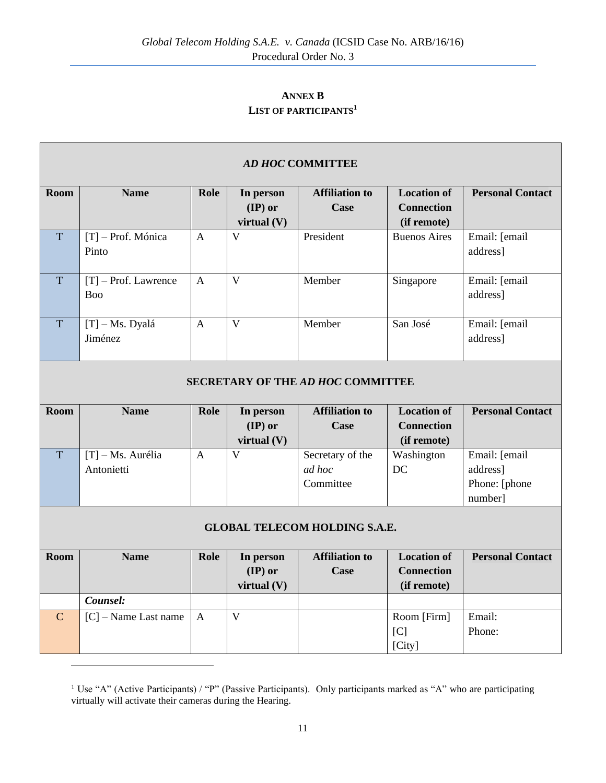## **ANNEX B LIST OF PARTICIPANTS<sup>1</sup>**

| <b>AD HOC COMMITTEE</b>              |                                          |                |                                                  |                                         |                                                        |                                                       |  |
|--------------------------------------|------------------------------------------|----------------|--------------------------------------------------|-----------------------------------------|--------------------------------------------------------|-------------------------------------------------------|--|
| Room                                 | <b>Name</b>                              | Role           | In person<br>$(\mathbf{IP})$ or<br>virtual (V)   | <b>Affiliation to</b><br>Case           | <b>Location of</b><br><b>Connection</b><br>(if remote) | <b>Personal Contact</b>                               |  |
| $\mathbf T$                          | $[T]$ – Prof. Mónica<br>Pinto            | $\mathbf{A}$   | $\overline{\mathbf{V}}$                          | President                               | <b>Buenos Aires</b>                                    | Email: [email<br>address]                             |  |
| T                                    | $[T]$ – Prof. Lawrence<br><b>Boo</b>     | $\overline{A}$ | $\overline{\mathbf{V}}$                          | Member                                  | Singapore                                              | Email: [email<br>address]                             |  |
| T                                    | $[T] - Ms. Dyalá$<br>Jiménez             | $\mathbf{A}$   | $\mathbf{V}$                                     | Member                                  | San José                                               | Email: [email<br>address]                             |  |
|                                      | <b>SECRETARY OF THE AD HOC COMMITTEE</b> |                |                                                  |                                         |                                                        |                                                       |  |
| Room                                 | <b>Name</b>                              | Role           | In person<br>$(\mathbf{IP})$ or<br>virtual $(V)$ | <b>Affiliation to</b><br>Case           | <b>Location of</b><br><b>Connection</b><br>(if remote) | <b>Personal Contact</b>                               |  |
| T                                    | $[T] - Ms. Aurélia$<br>Antonietti        | A              | $\overline{\mathbf{V}}$                          | Secretary of the<br>ad hoc<br>Committee | Washington<br>$DC$                                     | Email: [email<br>address]<br>Phone: [phone<br>number] |  |
| <b>GLOBAL TELECOM HOLDING S.A.E.</b> |                                          |                |                                                  |                                         |                                                        |                                                       |  |
| Room                                 | <b>Name</b>                              | Role           | In person<br>$(\mathbf{IP})$ or<br>virtual (V)   | <b>Affiliation to</b><br>Case           | <b>Location of</b><br><b>Connection</b><br>(if remote) | <b>Personal Contact</b>                               |  |
|                                      | Counsel:                                 |                |                                                  |                                         |                                                        |                                                       |  |
| $\mathbf C$                          | $[C]$ – Name Last name                   | $\overline{A}$ | $\mathbf V$                                      |                                         | Room [Firm]<br>[C]<br>[City]                           | Email:<br>Phone:                                      |  |

<sup>&</sup>lt;sup>1</sup> Use "A" (Active Participants) / "P" (Passive Participants). Only participants marked as "A" who are participating virtually will activate their cameras during the Hearing.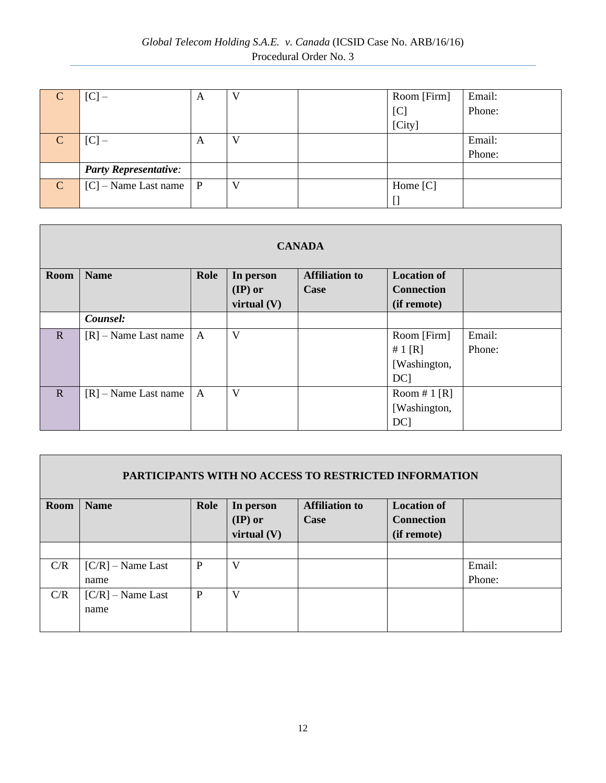|             |                              | A | V | Room [Firm] | Email: |
|-------------|------------------------------|---|---|-------------|--------|
|             |                              |   |   | [C]         | Phone: |
|             |                              |   |   | [City]      |        |
| C           | $ C $ -                      | A | V |             | Email: |
|             |                              |   |   |             | Phone: |
|             | <b>Party Representative:</b> |   |   |             |        |
| $\mathbf C$ | $[C]$ – Name Last name   P   |   | V | Home [C]    |        |
|             |                              |   |   |             |        |

| <b>CANADA</b> |                        |              |                                 |                               |                                         |        |  |
|---------------|------------------------|--------------|---------------------------------|-------------------------------|-----------------------------------------|--------|--|
| Room          | <b>Name</b>            | Role         | In person<br>$(\mathbf{IP})$ or | <b>Affiliation to</b><br>Case | <b>Location of</b><br><b>Connection</b> |        |  |
|               |                        |              | virtual $(V)$                   |                               | (if remote)                             |        |  |
|               | Counsel:               |              |                                 |                               |                                         |        |  |
| $\mathbf R$   | $[R]$ – Name Last name | $\mathbf{A}$ | V                               |                               | Room [Firm]                             | Email: |  |
|               |                        |              |                                 |                               | # 1 $[R]$                               | Phone: |  |
|               |                        |              |                                 |                               | [Washington,                            |        |  |
|               |                        |              |                                 |                               | DC <sub>1</sub>                         |        |  |
| $\mathbf R$   | $[R]$ – Name Last name | $\mathbf{A}$ | V                               |                               | Room #1 $[R]$                           |        |  |
|               |                        |              |                                 |                               | [Washington,                            |        |  |
|               |                        |              |                                 |                               | DC <sub>1</sub>                         |        |  |

|      | <b>PARTICIPANTS WITH NO ACCESS TO RESTRICTED INFORMATION</b> |      |                                     |                               |                                         |        |  |  |
|------|--------------------------------------------------------------|------|-------------------------------------|-------------------------------|-----------------------------------------|--------|--|--|
| Room | <b>Name</b>                                                  | Role | In person                           | <b>Affiliation to</b><br>Case | <b>Location of</b><br><b>Connection</b> |        |  |  |
|      |                                                              |      | $(\mathbf{IP})$ or<br>virtual $(V)$ |                               | (if remote)                             |        |  |  |
|      |                                                              |      |                                     |                               |                                         |        |  |  |
| C/R  | $[C/R]$ – Name Last                                          | P    | V                                   |                               |                                         | Email: |  |  |
|      | name                                                         |      |                                     |                               |                                         | Phone: |  |  |
| C/R  | $[C/R]$ – Name Last                                          | P    | V                                   |                               |                                         |        |  |  |
|      | name                                                         |      |                                     |                               |                                         |        |  |  |
|      |                                                              |      |                                     |                               |                                         |        |  |  |